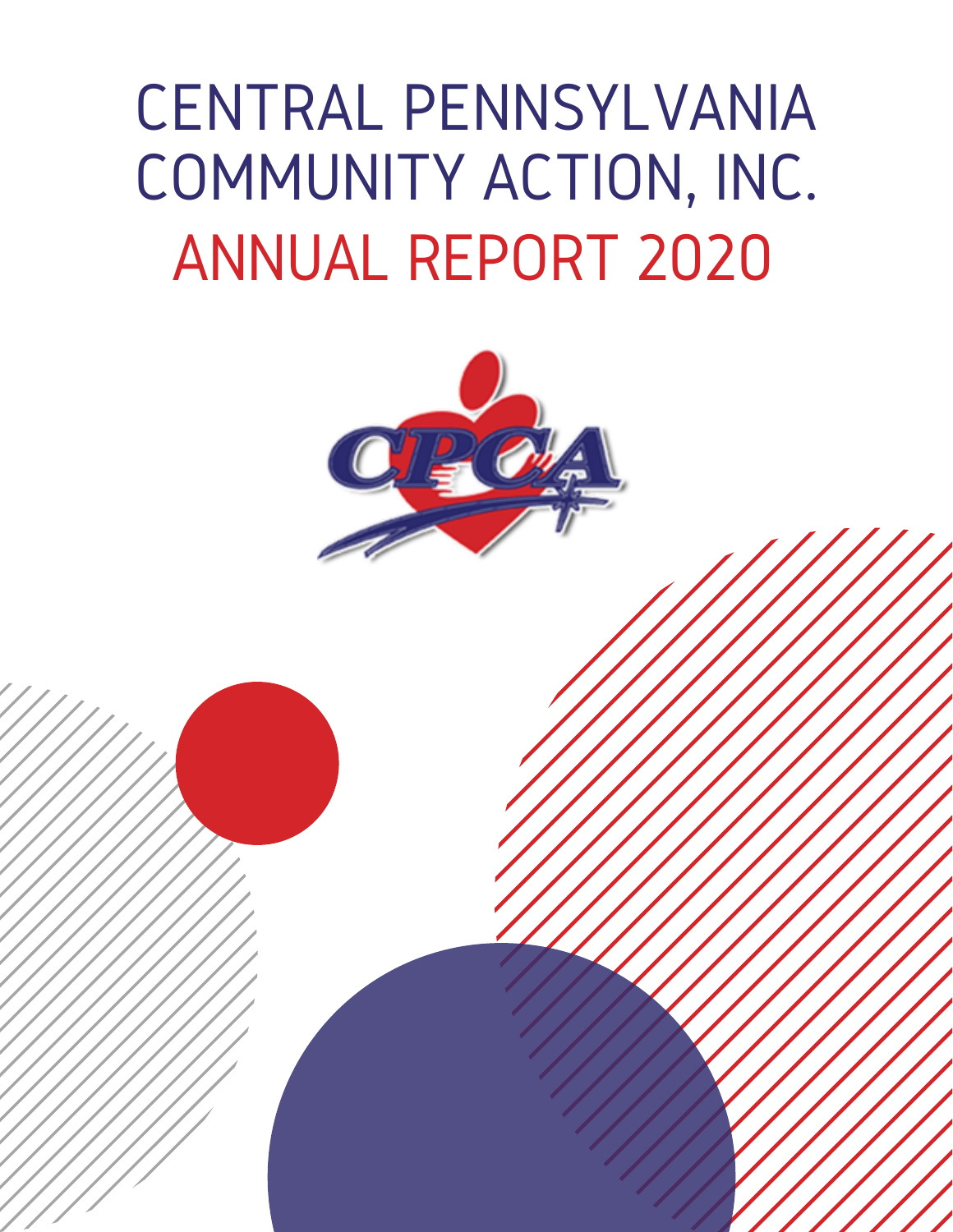### CENTRAL PENNSYLVANIA COMMUNITY ACTION, INC. ANNUAL REPORT 2020

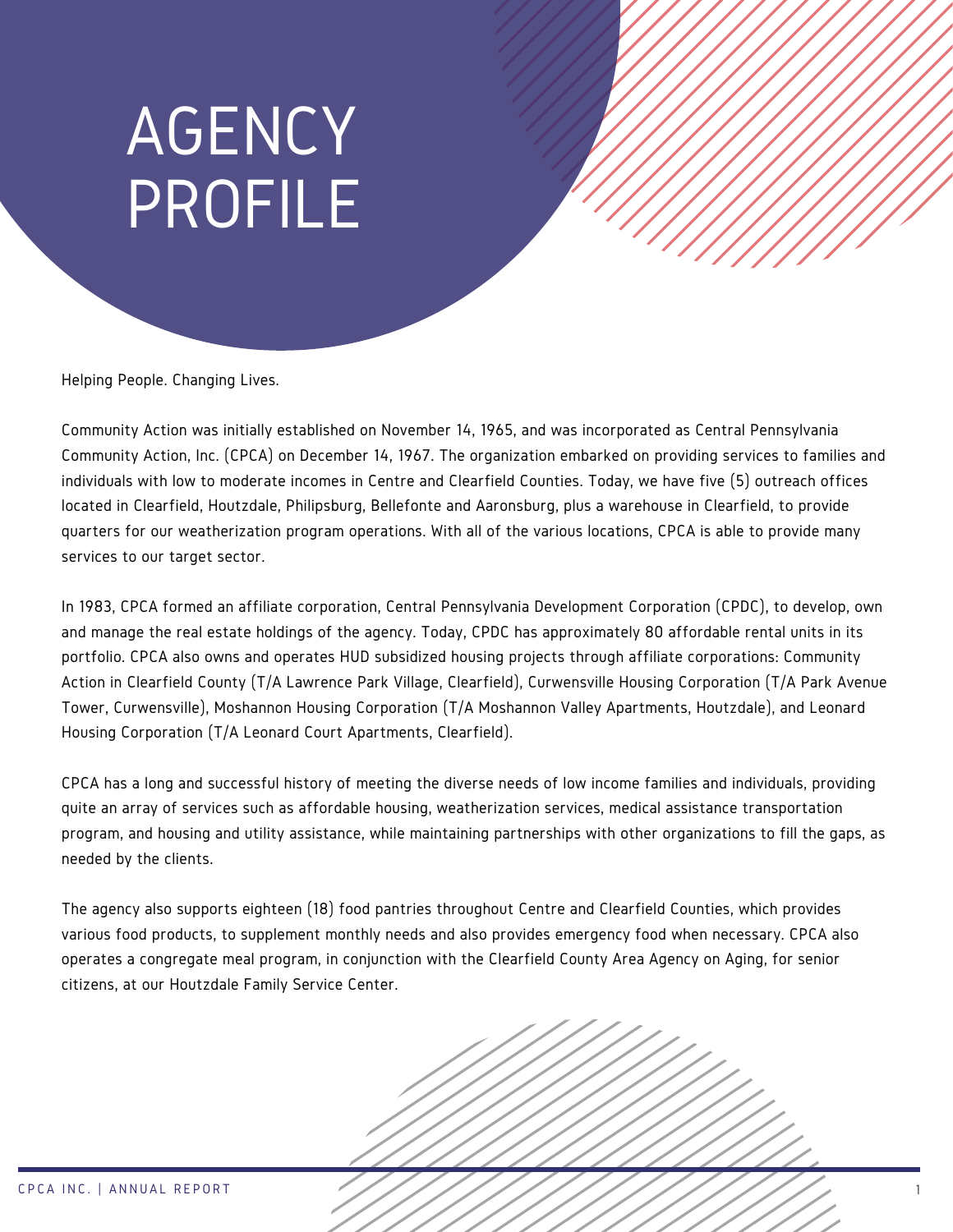### AGENCY PROFILE

Helping People. Changing Lives.

Community Action was initially established on November 14, 1965, and was incorporated as Central Pennsylvania Community Action, Inc. (CPCA) on December 14, 1967. The organization embarked on providing services to families and individuals with low to moderate incomes in Centre and Clearfield Counties. Today, we have five (5) outreach offices located in Clearfield, Houtzdale, Philipsburg, Bellefonte and Aaronsburg, plus a warehouse in Clearfield, to provide quarters for our weatherization program operations. With all of the various locations, CPCA is able to provide many services to our target sector.

In 1983, CPCA formed an affiliate corporation, Central Pennsylvania Development Corporation (CPDC), to develop, own and manage the real estate holdings of the agency. Today, CPDC has approximately 80 affordable rental units in its portfolio. CPCA also owns and operates HUD subsidized housing projects through affiliate corporations: Community Action in Clearfield County (T/A Lawrence Park Village, Clearfield), Curwensville Housing Corporation (T/A Park Avenue Tower, Curwensville), Moshannon Housing Corporation (T/A Moshannon Valley Apartments, Houtzdale), and Leonard Housing Corporation (T/A Leonard Court Apartments, Clearfield).

CPCA has a long and successful history of meeting the diverse needs of low income families and individuals, providing quite an array of services such as affordable housing, weatherization services, medical assistance transportation program, and housing and utility assistance, while maintaining partnerships with other organizations to fill the gaps, as needed by the clients.

The agency also supports eighteen (18) food pantries throughout Centre and Clearfield Counties, which provides various food products, to supplement monthly needs and also provides emergency food when necessary. CPCA also operates a congregate meal program, in conjunction with the Clearfield County Area Agency on Aging, for senior citizens, at our Houtzdale Family Service Center.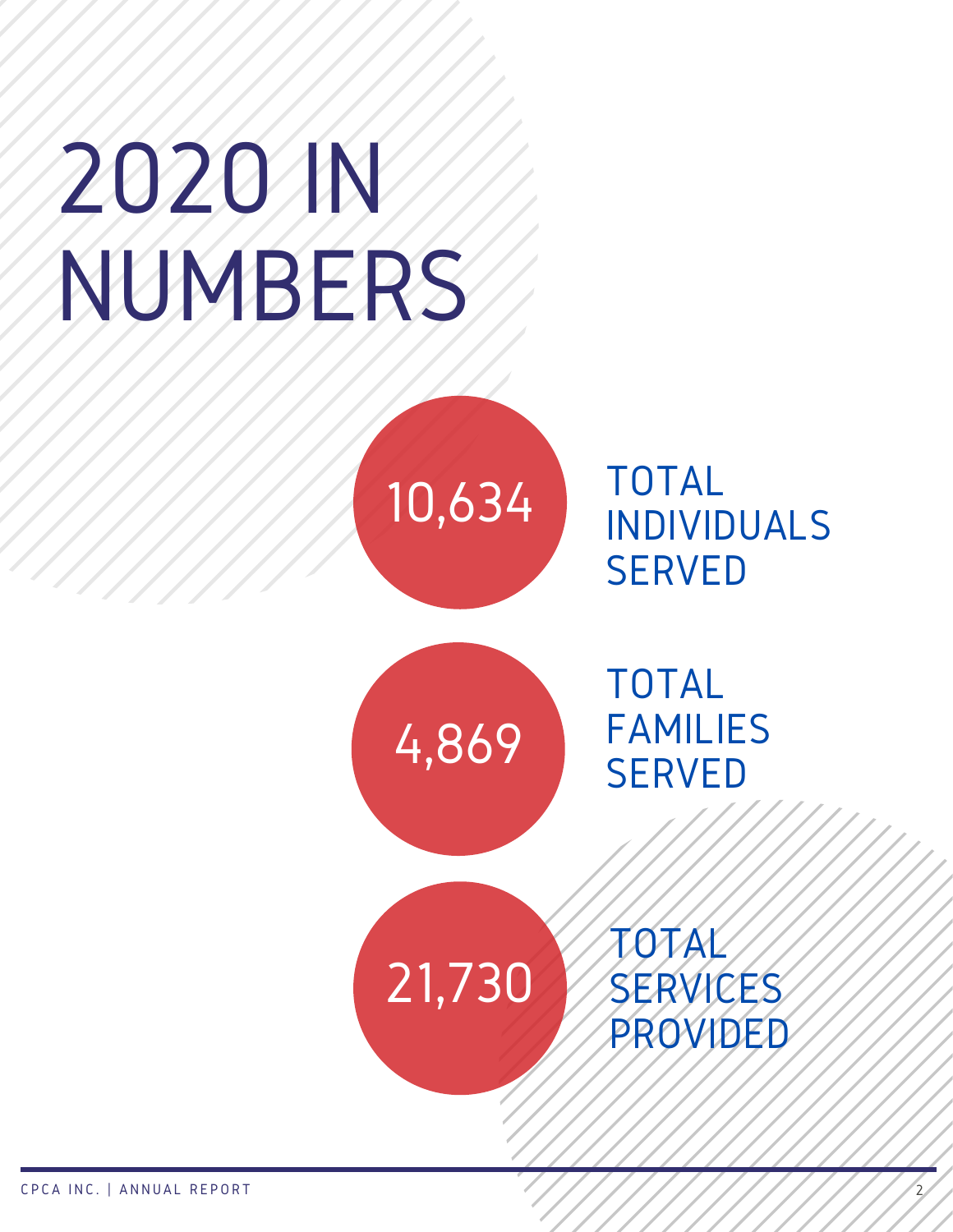# 2020 IN NUMBERS

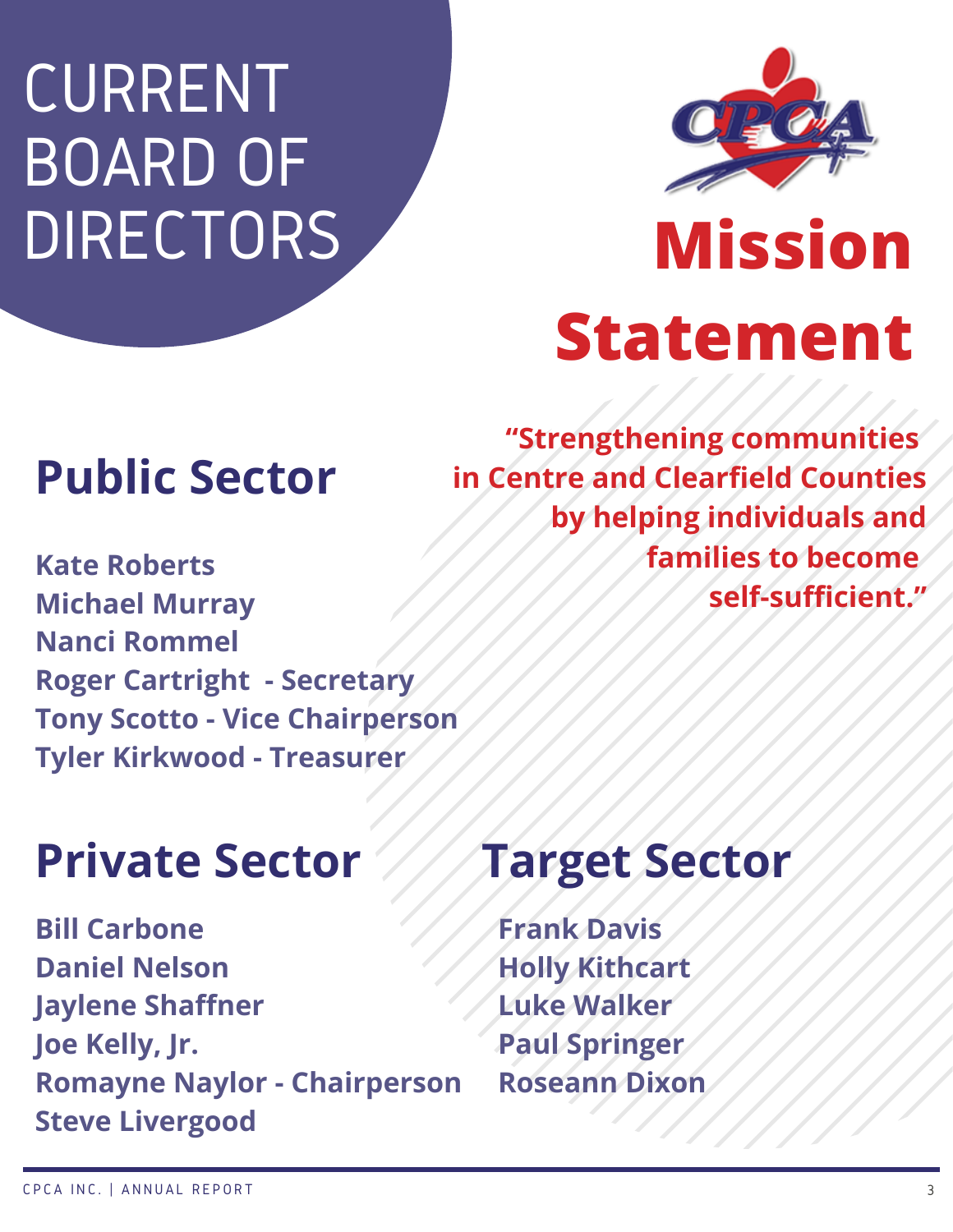### CURRENT BOARD OF DIRECTORS



## **Mission Statement**

#### **Public Sector**

**Kate Roberts Michael Murray Nanci Rommel Roger Cartright - Secretary Tony Scotto - Vice Chairperson Tyler Kirkwood - Treasurer**

#### **Private Sector ///Target Sector**

**Bill Carbone Daniel Nelson Jaylene Shaffner Joe Kelly, Jr. Romayne Naylor - Chairperson Steve Livergood**

**"Strengthening communities in Centre and Clearfield Counties by helping individuals and families to become self-sufficient."**

**Frank Davis Holly Kithcart Luke Walker Paul Springer Roseann Dixon**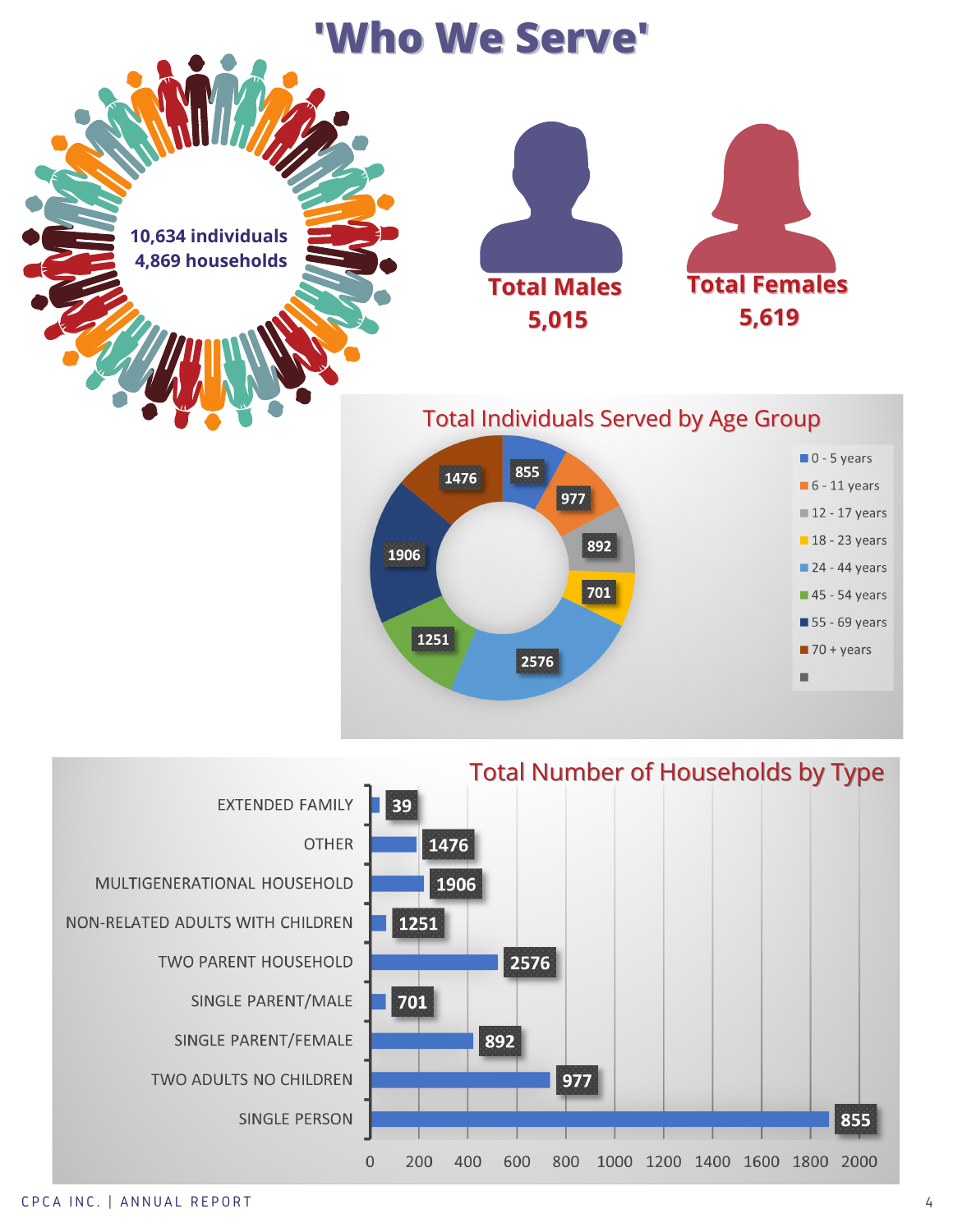



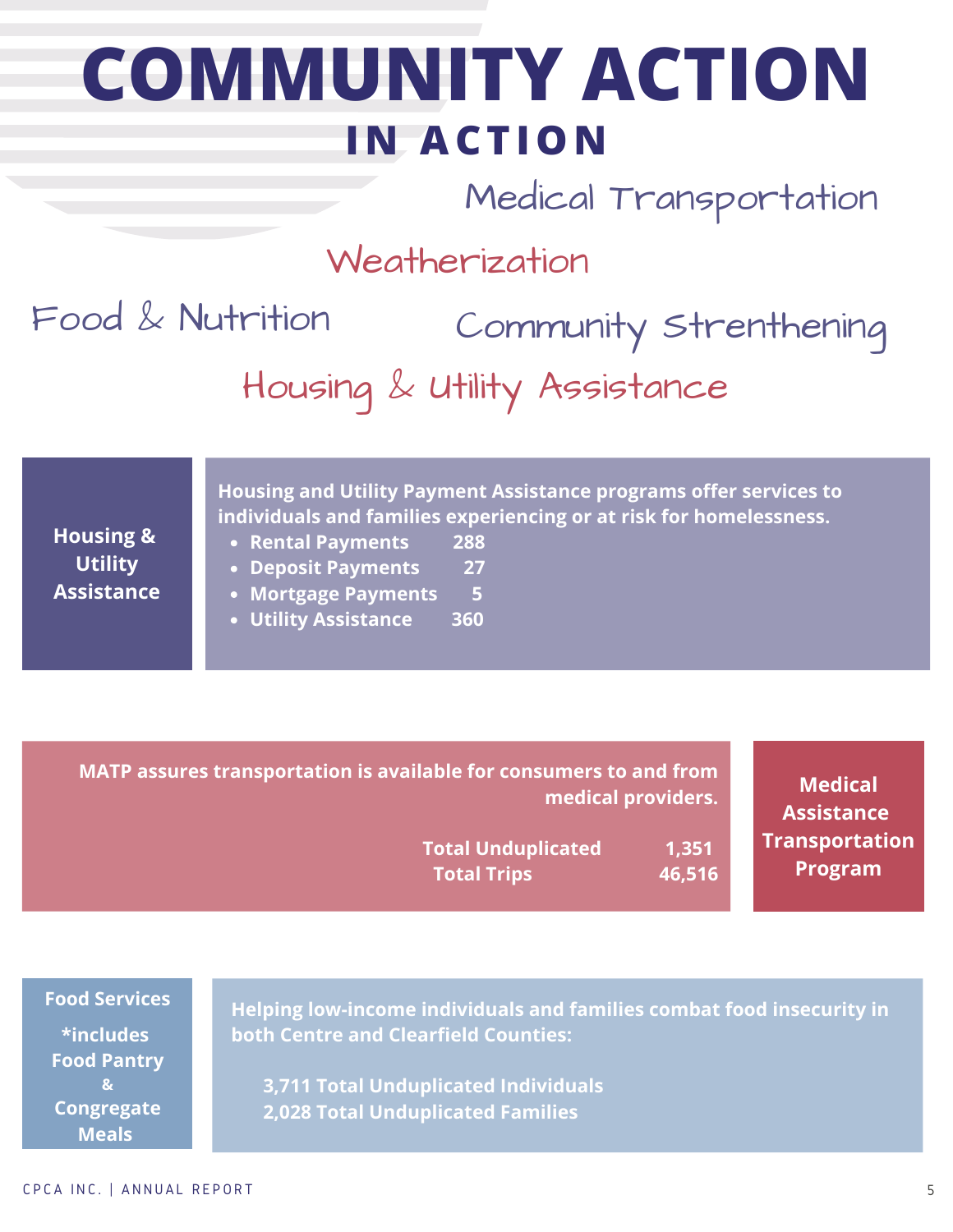### **COMMUNITY ACTION I N ACTIO N**

Medical Transportation

#### Weatherization

Community Strenthening Housing & Utility Assistance Food & Nutrition

**Utility Assistance**

**Housing and Utility Payment Assistance programs offer services to individuals and families experiencing or at risk for homelessness. Housing &**

- **Rental Payments 288**
- **Deposit Payments 27**
- **Mortgage Payments 5**
- **Utility Assistance 360**

**MATP assures transportation is available for consumers to and from medical providers.**

> **Total Unduplicated 1,351 Total Trips 46,516**

**Medical Assistance Transportation Program**

**Food Services \*includes Food Pantry & Congregate**

**Meals**

**Helping low-income individuals and families combat food insecurity in both Centre and Clearfield Counties:**

**3,711 Total Unduplicated Individuals 2,028 Total Unduplicated Families**